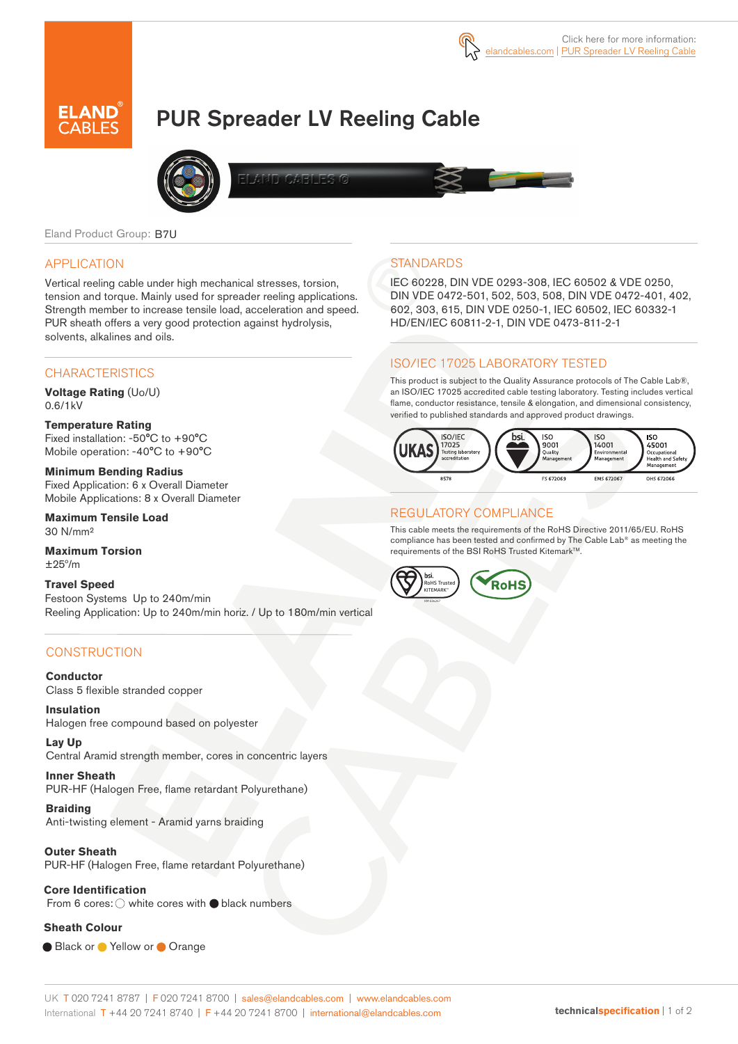# PUR Spreader LV Reeling Cable



Eland Product Group: B7U

#### APPLICATION

Vertical reeling cable under high mechanical stresses, torsion, tension and torque. Mainly used for spreader reeling applications. Strength member to increase tensile load, acceleration and speed. PUR sheath offers a very good protection against hydrolysis, solvents, alkalines and oils.

#### **CHARACTERISTICS**

**Voltage Rating** (Uo/U) 0.6/1kV

**Temperature Rating**  Fixed installation: -50°C to +90°C Mobile operation: -40°C to +90°C

**Minimum Bending Radius**  Fixed Application: 6 x Overall Diameter Mobile Applications: 8 x Overall Diameter

**Maximum Tensile Load**  30 N/mm²

**Maximum Torsion**   $+25^{\circ}/m$ 

**Travel Speed**  Festoon Systems Up to 240m/min Reeling Application: Up to 240m/min horiz. / Up to 180m/min vertical

### **CONSTRUCTION**

**Conductor** Class 5 flexible stranded copper

**Insulation** Halogen free compound based on polyester

**Lay Up** Central Aramid strength member, cores in concentric layers

**Inner Sheath** PUR-HF (Halogen Free, flame retardant Polyurethane)

**Braiding** Anti-twisting element - Aramid yarns braiding

#### **Outer Sheath**

PUR-HF (Halogen Free, flame retardant Polyurethane)

#### **Core Identification**

From 6 cores:  $\bigcirc$  white cores with  $\bigcirc$  black numbers

#### **Sheath Colour**

● Black or ● Yellow or ● Orange

## **STANDARDS**

IEC 60228, DIN VDE 0293-308, IEC 60502 & VDE 0250, DIN VDE 0472-501, 502, 503, 508, DIN VDE 0472-401, 402, 602, 303, 615, DIN VDE 0250-1, IEC 60502, IEC 60332-1 HD/EN/IEC 60811-2-1, DIN VDE 0473-811-2-1

#### ISO/IEC 17025 LABORATORY TESTED

This product is subject to the Quality Assurance protocols of The Cable Lab®, an ISO/IEC 17025 accredited cable testing laboratory. Testing includes vertical flame, conductor resistance, tensile & elongation, and dimensional consistency, verified to published standards and approved product drawings.



#### REGULATORY COMPLIANCE

This cable meets the requirements of the RoHS Directive 2011/65/EU. RoHS compliance has been tested and confirmed by The Cable Lab® as meeting the requirements of the BSI RoHS Trusted Kitemark™.



#### UK T 020 7241 8787 | F 020 7241 8700 | sales@elandcables.com | www.elandcables.com International T +44 20 7241 8740 | F +44 20 7241 8700 | international@elandcables.com